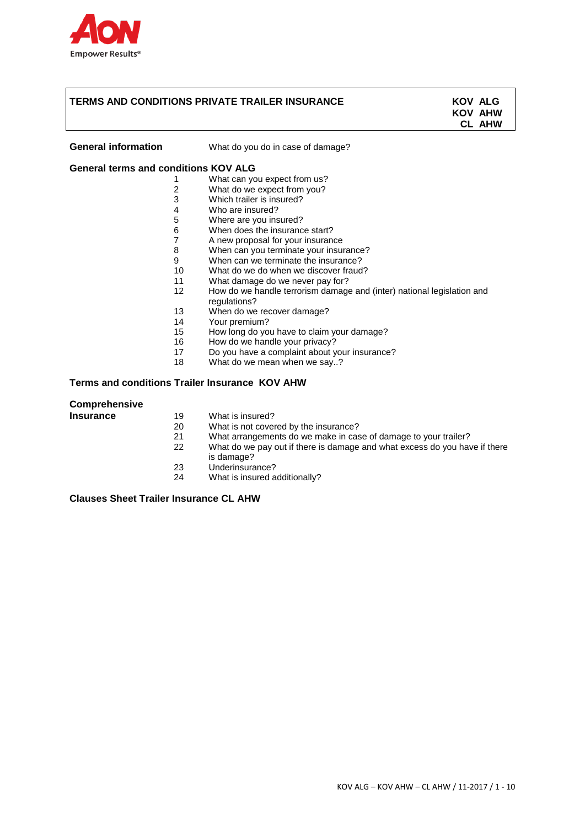

## **TERMS AND CONDITIONS PRIVATE TRAILER INSURANCE KOV ALG**

**KOV AHW CL AHW**

**General information** What do you do in case of damage?

## **General terms and conditions KOV ALG**

- 1 What can you expect from us?
- 2 What do we expect from you?
- 3 Which trailer is insured?<br>4 Who are insured?
- Who are insured?
- 5 Where are you insured?
- 6 When does the insurance start?
- 7 A new proposal for your insurance
- 8 When can you terminate your insurance?
- 9 When can we terminate the insurance?
- 10 What do we do when we discover fraud?
- 11 What damage do we never pay for?
- 12 How do we handle terrorism damage and (inter) national legislation and regulations?
- 13 When do we recover damage?
- 14 Your premium?<br>15 How long do vo
- How long do you have to claim your damage?
- 16 How do we handle your privacy?
- 17 Do you have a complaint about your insurance?<br>18 What do we mean when we say ?
- What do we mean when we say..?

**Terms and conditions Trailer Insurance KOV AHW**

#### **Comprehensive**

| Insurance | 19 | What is insured? |  |
|-----------|----|------------------|--|
|           |    |                  |  |

- 20 What is not covered by the insurance?
- 
- 21 What arrangements do we make in case of damage to your trailer?<br>22 What do we pay out if there is damage and what excess do you have What do we pay out if there is damage and what excess do you have if there is damage?
- 23 Underinsurance?<br>24 What is insured a
- What is insured additionally?

**Clauses Sheet Trailer Insurance CL AHW**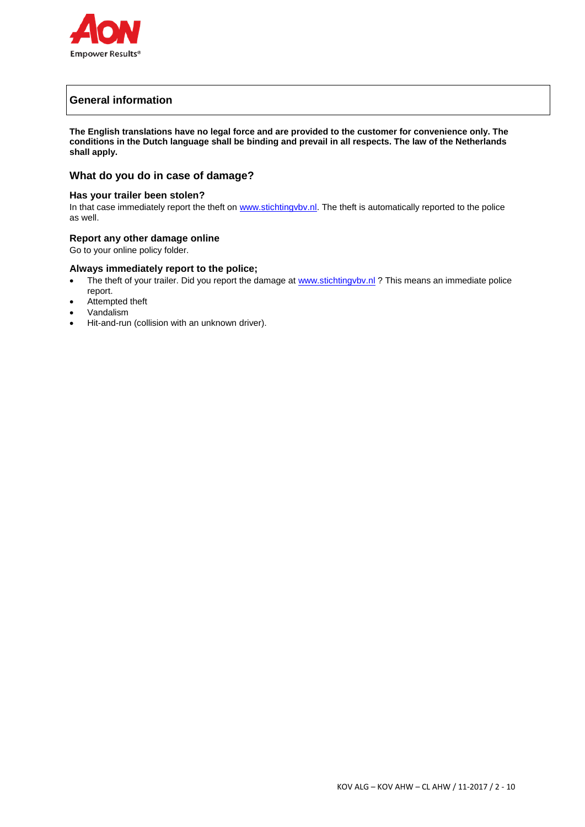

# **General information**

**The English translations have no legal force and are provided to the customer for convenience only. The conditions in the Dutch language shall be binding and prevail in all respects. The law of the Netherlands shall apply.**

## **What do you do in case of damage?**

## **Has your trailer been stolen?**

In that case immediately report the theft on [www.stichtingvbv.nl](http://www.stichtingvbv.nl/). The theft is automatically reported to the police as well.

## **Report any other damage online**

Go to your online policy folder.

## **Always immediately report to the police;**

- The theft of your trailer. Did you report the damage at www.stichtingvbv.nl ? This means an immediate police report.
- Attempted theft
- Vandalism
- Hit-and-run (collision with an unknown driver).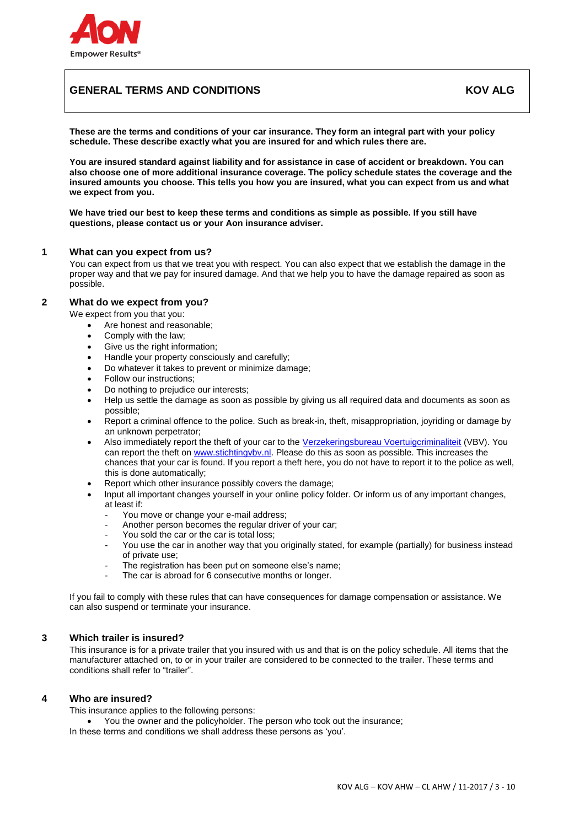

# **GENERAL TERMS AND CONDITIONS AND ALGENT AND ALGENT AND ALGENT AND ALGENT AND ALGENT AND ALGENT AND ALGENT AND**

**These are the terms and conditions of your car insurance. They form an integral part with your policy schedule. These describe exactly what you are insured for and which rules there are.**

**You are insured standard against liability and for assistance in case of accident or breakdown. You can also choose one of more additional insurance coverage. The policy schedule states the coverage and the insured amounts you choose. This tells you how you are insured, what you can expect from us and what we expect from you.**

**We have tried our best to keep these terms and conditions as simple as possible. If you still have questions, please contact us or your Aon insurance adviser.**

## **1 What can you expect from us?**

You can expect from us that we treat you with respect. You can also expect that we establish the damage in the proper way and that we pay for insured damage. And that we help you to have the damage repaired as soon as possible.

## **2 What do we expect from you?**

We expect from you that you:

- Are honest and reasonable;
- Comply with the law;
- Give us the right information;
- Handle your property consciously and carefully;
- Do whatever it takes to prevent or minimize damage;
- Follow our instructions;
- Do nothing to prejudice our interests;
- Help us settle the damage as soon as possible by giving us all required data and documents as soon as possible;
- Report a criminal offence to the police. Such as break-in, theft, misappropriation, joyriding or damage by an unknown perpetrator;
- Also immediately report the theft of your car to the [Verzekeringsbureau Voertuigcriminaliteit](http://www.stichtingvbv.nl/) (VBV). You can report the theft on [www.stichtingvbv.nl.](http://www.stichtingvbv.nl/) Please do this as soon as possible. This increases the chances that your car is found. If you report a theft here, you do not have to report it to the police as well, this is done automatically;
- Report which other insurance possibly covers the damage;
- Input all important changes yourself in your online policy folder. Or inform us of any important changes, at least if:
	- You move or change your e-mail address;
	- Another person becomes the regular driver of your car;
	- You sold the car or the car is total loss:
	- You use the car in another way that you originally stated, for example (partially) for business instead of private use;
	- The registration has been put on someone else's name:
	- The car is abroad for 6 consecutive months or longer.

If you fail to comply with these rules that can have consequences for damage compensation or assistance. We can also suspend or terminate your insurance.

## **3 Which trailer is insured?**

This insurance is for a private trailer that you insured with us and that is on the policy schedule. All items that the manufacturer attached on, to or in your trailer are considered to be connected to the trailer. These terms and conditions shall refer to "trailer".

## **4 Who are insured?**

This insurance applies to the following persons:

You the owner and the policyholder. The person who took out the insurance;

In these terms and conditions we shall address these persons as 'you'.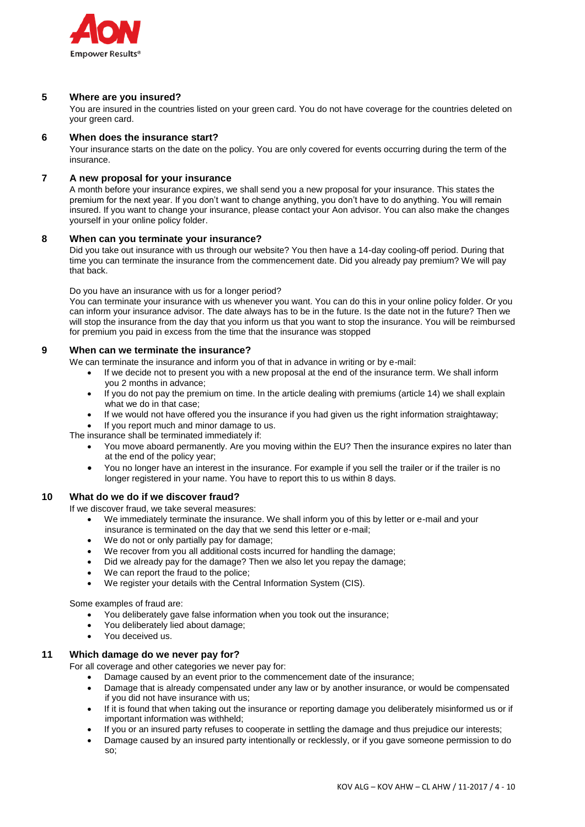

## **5 Where are you insured?**

You are insured in the countries listed on your green card. You do not have coverage for the countries deleted on your green card.

### **6 When does the insurance start?**

Your insurance starts on the date on the policy. You are only covered for events occurring during the term of the insurance.

## **7 A new proposal for your insurance**

A month before your insurance expires, we shall send you a new proposal for your insurance. This states the premium for the next year. If you don't want to change anything, you don't have to do anything. You will remain insured. If you want to change your insurance, please contact your Aon advisor. You can also make the changes yourself in your online policy folder.

#### **8 When can you terminate your insurance?**

Did you take out insurance with us through our website? You then have a 14-day cooling-off period. During that time you can terminate the insurance from the commencement date. Did you already pay premium? We will pay that back.

Do you have an insurance with us for a longer period?

You can terminate your insurance with us whenever you want. You can do this in your online policy folder. Or you can inform your insurance advisor. The date always has to be in the future. Is the date not in the future? Then we will stop the insurance from the day that you inform us that you want to stop the insurance. You will be reimbursed for premium you paid in excess from the time that the insurance was stopped

## **9 When can we terminate the insurance?**

We can terminate the insurance and inform you of that in advance in writing or by e-mail:

- If we decide not to present you with a new proposal at the end of the insurance term. We shall inform you 2 months in advance;
- If you do not pay the premium on time. In the article dealing with premiums (article 14) we shall explain what we do in that case;
- If we would not have offered you the insurance if you had given us the right information straightaway;
- If you report much and minor damage to us.

The insurance shall be terminated immediately if:

- You move aboard permanently. Are you moving within the EU? Then the insurance expires no later than at the end of the policy year;
- You no longer have an interest in the insurance. For example if you sell the trailer or if the trailer is no longer registered in your name. You have to report this to us within 8 days.

## **10 What do we do if we discover fraud?**

If we discover fraud, we take several measures:

- We immediately terminate the insurance. We shall inform you of this by letter or e-mail and your insurance is terminated on the day that we send this letter or e-mail;
- We do not or only partially pay for damage;
- We recover from you all additional costs incurred for handling the damage;
- Did we already pay for the damage? Then we also let you repay the damage;
- We can report the fraud to the police;
- We register your details with the Central Information System (CIS).

Some examples of fraud are:

- You deliberately gave false information when you took out the insurance;
- You deliberately lied about damage;
- You deceived us.

## **11 Which damage do we never pay for?**

For all coverage and other categories we never pay for:

- Damage caused by an event prior to the commencement date of the insurance;
- Damage that is already compensated under any law or by another insurance, or would be compensated if you did not have insurance with us;
- If it is found that when taking out the insurance or reporting damage you deliberately misinformed us or if important information was withheld;
- If you or an insured party refuses to cooperate in settling the damage and thus prejudice our interests;
- Damage caused by an insured party intentionally or recklessly, or if you gave someone permission to do so;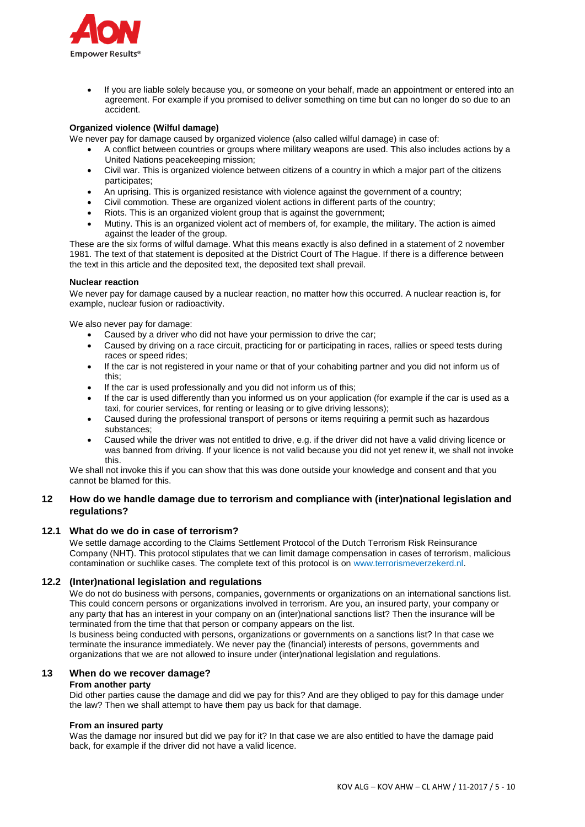

 If you are liable solely because you, or someone on your behalf, made an appointment or entered into an agreement. For example if you promised to deliver something on time but can no longer do so due to an accident.

### **Organized violence (Wilful damage)**

We never pay for damage caused by organized violence (also called wilful damage) in case of:

- A conflict between countries or groups where military weapons are used. This also includes actions by a United Nations peacekeeping mission;
- Civil war. This is organized violence between citizens of a country in which a major part of the citizens participates;
- An uprising. This is organized resistance with violence against the government of a country;
- Civil commotion. These are organized violent actions in different parts of the country;
- Riots. This is an organized violent group that is against the government:
- Mutiny. This is an organized violent act of members of, for example, the military. The action is aimed against the leader of the group.

These are the six forms of wilful damage. What this means exactly is also defined in a statement of 2 november 1981. The text of that statement is deposited at the District Court of The Hague. If there is a difference between the text in this article and the deposited text, the deposited text shall prevail.

#### **Nuclear reaction**

We never pay for damage caused by a nuclear reaction, no matter how this occurred. A nuclear reaction is, for example, nuclear fusion or radioactivity.

We also never pay for damage:

- Caused by a driver who did not have your permission to drive the car;
- Caused by driving on a race circuit, practicing for or participating in races, rallies or speed tests during races or speed rides;
- If the car is not registered in your name or that of your cohabiting partner and you did not inform us of this;
- If the car is used professionally and you did not inform us of this;
- If the car is used differently than you informed us on your application (for example if the car is used as a taxi, for courier services, for renting or leasing or to give driving lessons);
- Caused during the professional transport of persons or items requiring a permit such as hazardous substances;
- Caused while the driver was not entitled to drive, e.g. if the driver did not have a valid driving licence or was banned from driving. If your licence is not valid because you did not yet renew it, we shall not invoke this.

We shall not invoke this if you can show that this was done outside your knowledge and consent and that you cannot be blamed for this.

## **12 How do we handle damage due to terrorism and compliance with (inter)national legislation and regulations?**

#### **12.1 What do we do in case of terrorism?**

We settle damage according to the Claims Settlement Protocol of the Dutch Terrorism Risk Reinsurance Company (NHT). This protocol stipulates that we can limit damage compensation in cases of terrorism, malicious contamination or suchlike cases. The complete text of this protocol is on [www.terrorismeverzekerd.nl.](http://www.terrorismeverzekerd.nl/)

## **12.2 (Inter)national legislation and regulations**

We do not do business with persons, companies, governments or organizations on an international sanctions list. This could concern persons or organizations involved in terrorism. Are you, an insured party, your company or any party that has an interest in your company on an (inter)national sanctions list? Then the insurance will be terminated from the time that that person or company appears on the list.

Is business being conducted with persons, organizations or governments on a sanctions list? In that case we terminate the insurance immediately. We never pay the (financial) interests of persons, governments and organizations that we are not allowed to insure under (inter)national legislation and regulations.

## **13 When do we recover damage?**

## **From another party**

Did other parties cause the damage and did we pay for this? And are they obliged to pay for this damage under the law? Then we shall attempt to have them pay us back for that damage.

#### **From an insured party**

Was the damage nor insured but did we pay for it? In that case we are also entitled to have the damage paid back, for example if the driver did not have a valid licence.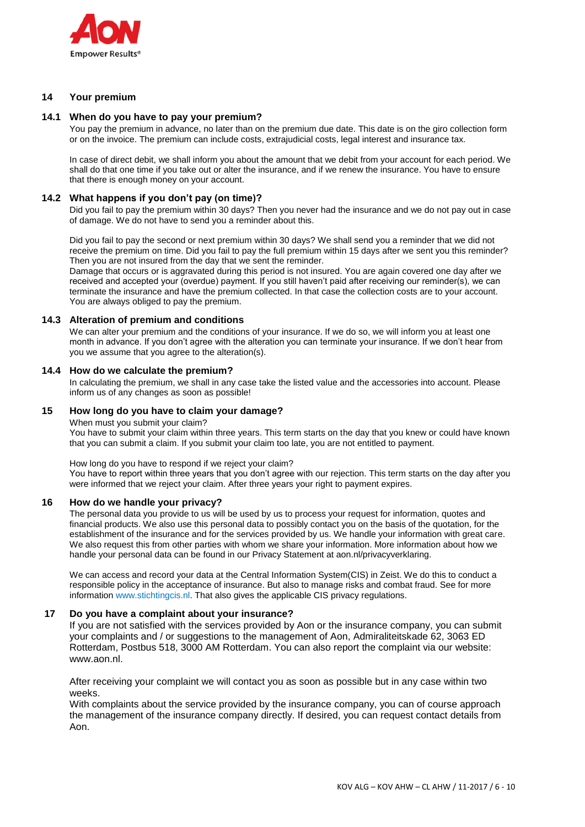

## **14 Your premium**

### **14.1 When do you have to pay your premium?**

You pay the premium in advance, no later than on the premium due date. This date is on the giro collection form or on the invoice. The premium can include costs, extrajudicial costs, legal interest and insurance tax.

In case of direct debit, we shall inform you about the amount that we debit from your account for each period. We shall do that one time if you take out or alter the insurance, and if we renew the insurance. You have to ensure that there is enough money on your account.

#### **14.2 What happens if you don't pay (on time)?**

Did you fail to pay the premium within 30 days? Then you never had the insurance and we do not pay out in case of damage. We do not have to send you a reminder about this.

Did you fail to pay the second or next premium within 30 days? We shall send you a reminder that we did not receive the premium on time. Did you fail to pay the full premium within 15 days after we sent you this reminder? Then you are not insured from the day that we sent the reminder.

Damage that occurs or is aggravated during this period is not insured. You are again covered one day after we received and accepted your (overdue) payment. If you still haven't paid after receiving our reminder(s), we can terminate the insurance and have the premium collected. In that case the collection costs are to your account. You are always obliged to pay the premium.

#### **14.3 Alteration of premium and conditions**

We can alter your premium and the conditions of your insurance. If we do so, we will inform you at least one month in advance. If you don't agree with the alteration you can terminate your insurance. If we don't hear from you we assume that you agree to the alteration(s).

#### **14.4 How do we calculate the premium?**

In calculating the premium, we shall in any case take the listed value and the accessories into account. Please inform us of any changes as soon as possible!

#### **15 How long do you have to claim your damage?**

When must you submit your claim?

You have to submit your claim within three years. This term starts on the day that you knew or could have known that you can submit a claim. If you submit your claim too late, you are not entitled to payment.

How long do you have to respond if we reject your claim?

You have to report within three years that you don't agree with our rejection. This term starts on the day after you were informed that we reject your claim. After three years your right to payment expires.

## **16 How do we handle your privacy?**

The personal data you provide to us will be used by us to process your request for information, quotes and financial products. We also use this personal data to possibly contact you on the basis of the quotation, for the establishment of the insurance and for the services provided by us. We handle your information with great care. We also request this from other parties with whom we share your information. More information about how we handle your personal data can be found in our Privacy Statement at aon.nl/privacyverklaring.

We can access and record your data at the Central Information System(CIS) in Zeist. We do this to conduct a responsible policy in the acceptance of insurance. But also to manage risks and combat fraud. See for more information www.stichtingcis.nl. That also gives the applicable CIS privacy regulations.

#### **17 Do you have a complaint about your insurance?**

If you are not satisfied with the services provided by Aon or the insurance company, you can submit your complaints and / or suggestions to the management of Aon, Admiraliteitskade 62, 3063 ED Rotterdam, Postbus 518, 3000 AM Rotterdam. You can also report the complaint via our website: www.aon.nl.

After receiving your complaint we will contact you as soon as possible but in any case within two weeks.

With complaints about the service provided by the insurance company, you can of course approach the management of the insurance company directly. If desired, you can request contact details from Aon.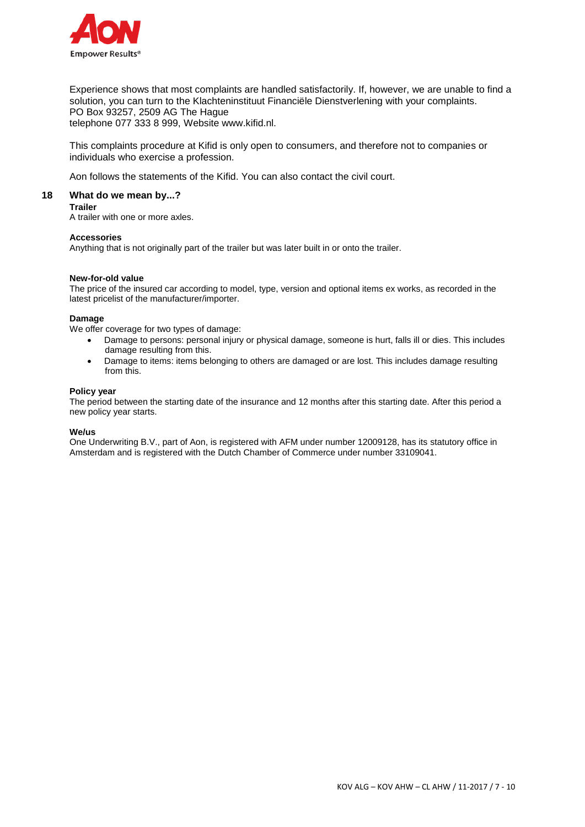

Experience shows that most complaints are handled satisfactorily. If, however, we are unable to find a solution, you can turn to the Klachteninstituut Financiële Dienstverlening with your complaints. PO Box 93257, 2509 AG The Hague telephone 077 333 8 999, Website www.kifid.nl.

This complaints procedure at Kifid is only open to consumers, and therefore not to companies or individuals who exercise a profession.

Aon follows the statements of the Kifid. You can also contact the civil court.

## **18 What do we mean by...?**

## **Trailer**

A trailer with one or more axles.

#### **Accessories**

Anything that is not originally part of the trailer but was later built in or onto the trailer.

#### **New-for-old value**

The price of the insured car according to model, type, version and optional items ex works, as recorded in the latest pricelist of the manufacturer/importer.

#### **Damage**

We offer coverage for two types of damage:

- Damage to persons: personal injury or physical damage, someone is hurt, falls ill or dies. This includes damage resulting from this.
- Damage to items: items belonging to others are damaged or are lost. This includes damage resulting from this.

#### **Policy year**

The period between the starting date of the insurance and 12 months after this starting date. After this period a new policy year starts.

#### **We/us**

One Underwriting B.V., part of Aon, is registered with AFM under number 12009128, has its statutory office in Amsterdam and is registered with the Dutch Chamber of Commerce under number 33109041.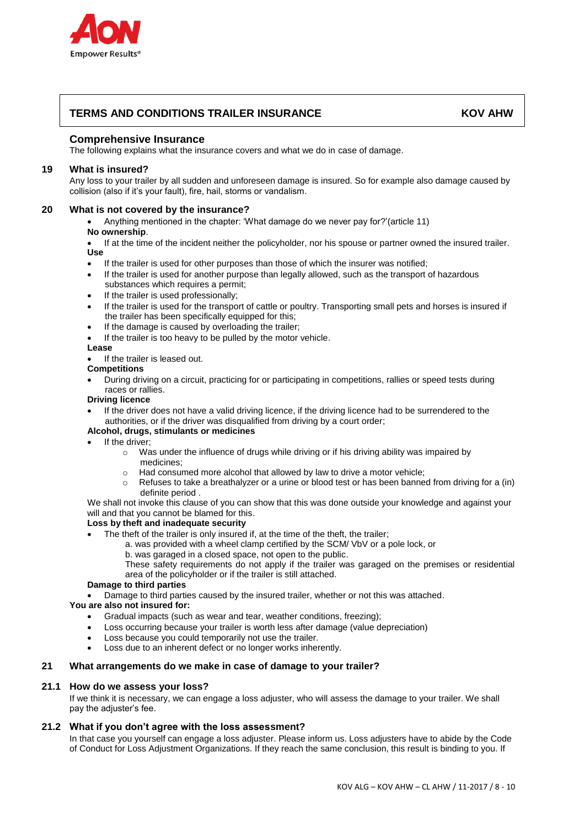

# **TERMS AND CONDITIONS TRAILER INSURANCE KOV AHW**

## **Comprehensive Insurance**

The following explains what the insurance covers and what we do in case of damage.

## **19 What is insured?**

Any loss to your trailer by all sudden and unforeseen damage is insured. So for example also damage caused by collision (also if it's your fault), fire, hail, storms or vandalism.

## **20 What is not covered by the insurance?**

 Anything mentioned in the chapter: 'What damage do we never pay for?'(article 11) **No ownership**.

 If at the time of the incident neither the policyholder, nor his spouse or partner owned the insured trailer. **Use** 

- If the trailer is used for other purposes than those of which the insurer was notified;
- If the trailer is used for another purpose than legally allowed, such as the transport of hazardous substances which requires a permit;
- If the trailer is used professionally:
- If the trailer is used for the transport of cattle or poultry. Transporting small pets and horses is insured if the trailer has been specifically equipped for this;
- If the damage is caused by overloading the trailer;
- If the trailer is too heavy to be pulled by the motor vehicle.

#### **Lease**

If the trailer is leased out.

#### **Competitions**

 During driving on a circuit, practicing for or participating in competitions, rallies or speed tests during races or rallies.

#### **Driving licence**

 If the driver does not have a valid driving licence, if the driving licence had to be surrendered to the authorities, or if the driver was disqualified from driving by a court order;

## **Alcohol, drugs, stimulants or medicines**

- $\bullet$  If the driver:
	- $\circ$  Was under the influence of drugs while driving or if his driving ability was impaired by medicines;
	- o Had consumed more alcohol that allowed by law to drive a motor vehicle;
	- $\circ$  Refuses to take a breathalyzer or a urine or blood test or has been banned from driving for a (in) definite period .

We shall not invoke this clause of you can show that this was done outside your knowledge and against your will and that you cannot be blamed for this.

## **Loss by theft and inadequate security**

- The theft of the trailer is only insured if, at the time of the theft, the trailer;
	- a. was provided with a wheel clamp certified by the SCM/ VbV or a pole lock, or
	- b. was garaged in a closed space, not open to the public.
	- These safety requirements do not apply if the trailer was garaged on the premises or residential area of the policyholder or if the trailer is still attached.

## **Damage to third parties**

Damage to third parties caused by the insured trailer, whether or not this was attached.

## **You are also not insured for:**

- Gradual impacts (such as wear and tear, weather conditions, freezing);
- Loss occurring because your trailer is worth less after damage (value depreciation)
- Loss because you could temporarily not use the trailer.
- Loss due to an inherent defect or no longer works inherently.

## **21 What arrangements do we make in case of damage to your trailer?**

## **21.1 How do we assess your loss?**

If we think it is necessary, we can engage a loss adjuster, who will assess the damage to your trailer. We shall pay the adjuster's fee.

## **21.2 What if you don't agree with the loss assessment?**

In that case you yourself can engage a loss adjuster. Please inform us. Loss adjusters have to abide by the Code of Conduct for Loss Adjustment Organizations. If they reach the same conclusion, this result is binding to you. If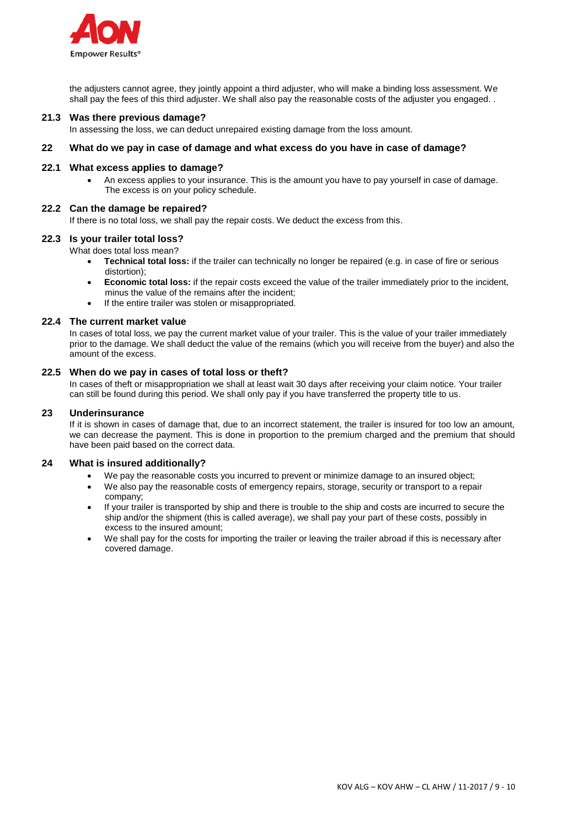

the adjusters cannot agree, they jointly appoint a third adjuster, who will make a binding loss assessment. We shall pay the fees of this third adjuster. We shall also pay the reasonable costs of the adjuster you engaged. .

#### **21.3 Was there previous damage?**

In assessing the loss, we can deduct unrepaired existing damage from the loss amount.

#### **22 What do we pay in case of damage and what excess do you have in case of damage?**

#### **22.1 What excess applies to damage?**

 An excess applies to your insurance. This is the amount you have to pay yourself in case of damage. The excess is on your policy schedule.

#### **22.2 Can the damage be repaired?**

If there is no total loss, we shall pay the repair costs. We deduct the excess from this.

## **22.3 Is your trailer total loss?**

What does total loss mean?

- **Technical total loss:** if the trailer can technically no longer be repaired (e.g. in case of fire or serious distortion);
- **Economic total loss:** if the repair costs exceed the value of the trailer immediately prior to the incident, minus the value of the remains after the incident;
- If the entire trailer was stolen or misappropriated.

#### **22.4 The current market value**

In cases of total loss, we pay the current market value of your trailer. This is the value of your trailer immediately prior to the damage. We shall deduct the value of the remains (which you will receive from the buyer) and also the amount of the excess.

#### **22.5 When do we pay in cases of total loss or theft?**

In cases of theft or misappropriation we shall at least wait 30 days after receiving your claim notice. Your trailer can still be found during this period. We shall only pay if you have transferred the property title to us.

#### **23 Underinsurance**

If it is shown in cases of damage that, due to an incorrect statement, the trailer is insured for too low an amount, we can decrease the payment. This is done in proportion to the premium charged and the premium that should have been paid based on the correct data.

#### **24 What is insured additionally?**

- We pay the reasonable costs you incurred to prevent or minimize damage to an insured object;
- We also pay the reasonable costs of emergency repairs, storage, security or transport to a repair company;
- If your trailer is transported by ship and there is trouble to the ship and costs are incurred to secure the ship and/or the shipment (this is called average), we shall pay your part of these costs, possibly in excess to the insured amount;
- We shall pay for the costs for importing the trailer or leaving the trailer abroad if this is necessary after covered damage.